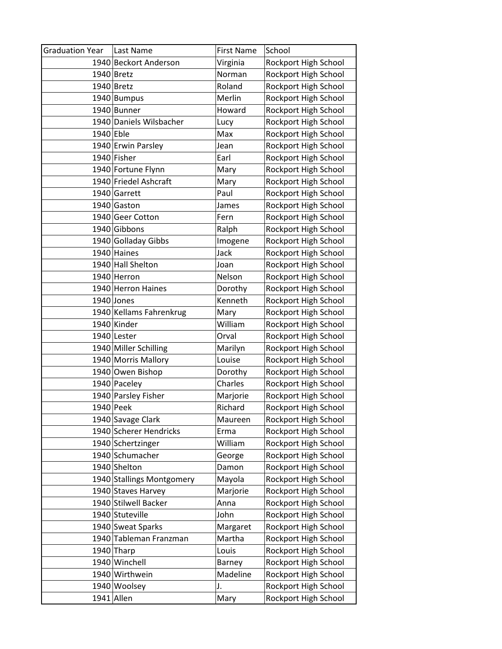| <b>Graduation Year</b> | Last Name                 | <b>First Name</b> | School               |
|------------------------|---------------------------|-------------------|----------------------|
|                        | 1940 Beckort Anderson     | Virginia          | Rockport High School |
|                        | $1940$ Bretz              | Norman            | Rockport High School |
|                        | 1940 Bretz                | Roland            | Rockport High School |
|                        | 1940 Bumpus               | Merlin            | Rockport High School |
|                        | 1940 Bunner               | Howard            | Rockport High School |
|                        | 1940 Daniels Wilsbacher   | Lucy              | Rockport High School |
| $1940$ Eble            |                           | Max               | Rockport High School |
|                        | 1940 Erwin Parsley        | Jean              | Rockport High School |
|                        | 1940 Fisher               | Earl              | Rockport High School |
|                        | 1940 Fortune Flynn        | Mary              | Rockport High School |
|                        | 1940 Friedel Ashcraft     | Mary              | Rockport High School |
|                        | 1940 Garrett              | Paul              | Rockport High School |
|                        | 1940 Gaston               | James             | Rockport High School |
|                        | 1940 Geer Cotton          | Fern              | Rockport High School |
|                        | 1940 Gibbons              | Ralph             | Rockport High School |
|                        | 1940 Golladay Gibbs       | Imogene           | Rockport High School |
|                        | 1940 Haines               | Jack              | Rockport High School |
|                        | 1940 Hall Shelton         | Joan              | Rockport High School |
|                        | 1940 Herron               | Nelson            | Rockport High School |
|                        | 1940 Herron Haines        | Dorothy           | Rockport High School |
|                        | 1940 Jones                | Kenneth           | Rockport High School |
|                        | 1940 Kellams Fahrenkrug   | Mary              | Rockport High School |
|                        | 1940 Kinder               | William           | Rockport High School |
|                        | 1940 Lester               | Orval             | Rockport High School |
|                        | 1940 Miller Schilling     | Marilyn           | Rockport High School |
|                        | 1940 Morris Mallory       | Louise            | Rockport High School |
|                        | 1940 Owen Bishop          | Dorothy           | Rockport High School |
|                        | 1940 Paceley              | Charles           | Rockport High School |
|                        | 1940 Parsley Fisher       | Marjorie          | Rockport High School |
|                        | 1940 Peek                 | Richard           | Rockport High School |
|                        | 1940 Savage Clark         | Maureen           | Rockport High School |
|                        | 1940 Scherer Hendricks    | Erma              | Rockport High School |
|                        | 1940 Schertzinger         | William           | Rockport High School |
|                        | 1940 Schumacher           | George            | Rockport High School |
|                        | 1940 Shelton              | Damon             | Rockport High School |
|                        | 1940 Stallings Montgomery | Mayola            | Rockport High School |
|                        | 1940 Staves Harvey        | Marjorie          | Rockport High School |
|                        | 1940 Stilwell Backer      | Anna              | Rockport High School |
|                        | 1940 Stuteville           | John              | Rockport High School |
|                        | 1940 Sweat Sparks         | Margaret          | Rockport High School |
|                        | 1940 Tableman Franzman    | Martha            | Rockport High School |
|                        | 1940 Tharp                | Louis             | Rockport High School |
|                        | 1940 Winchell             | Barney            | Rockport High School |
|                        | 1940 Wirthwein            | Madeline          | Rockport High School |
|                        | 1940 Woolsey              | J.                | Rockport High School |
|                        | 1941 Allen                | Mary              | Rockport High School |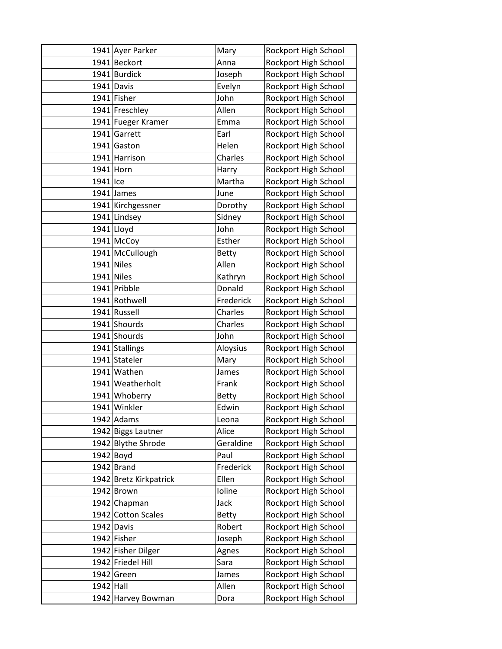|             | 1941 Ayer Parker       | Mary         | Rockport High School |
|-------------|------------------------|--------------|----------------------|
|             | 1941 Beckort           | Anna         | Rockport High School |
|             | 1941 Burdick           | Joseph       | Rockport High School |
|             | 1941 Davis             | Evelyn       | Rockport High School |
|             | 1941 Fisher            | John         | Rockport High School |
|             | 1941 Freschley         | Allen        | Rockport High School |
|             | 1941 Fueger Kramer     | Emma         | Rockport High School |
|             | 1941 Garrett           | Earl         | Rockport High School |
|             | 1941 Gaston            | Helen        | Rockport High School |
|             | 1941 Harrison          | Charles      | Rockport High School |
|             | 1941 Horn              | Harry        | Rockport High School |
| 1941 Ice    |                        | Martha       | Rockport High School |
|             | $1941$ James           | June         | Rockport High School |
|             | 1941 Kirchgessner      | Dorothy      | Rockport High School |
|             | 1941 Lindsey           | Sidney       | Rockport High School |
|             | $1941$ Lloyd           | John         | Rockport High School |
|             | 1941 McCoy             | Esther       | Rockport High School |
|             | 1941 McCullough        | <b>Betty</b> | Rockport High School |
|             | $1941$ Niles           | Allen        | Rockport High School |
|             | $1941$ Niles           | Kathryn      | Rockport High School |
|             | 1941 Pribble           | Donald       | Rockport High School |
|             | 1941 Rothwell          | Frederick    | Rockport High School |
|             | 1941 Russell           | Charles      | Rockport High School |
|             | 1941 Shourds           | Charles      | Rockport High School |
|             | 1941 Shourds           | John         | Rockport High School |
|             | 1941 Stallings         | Aloysius     | Rockport High School |
|             | 1941 Stateler          | Mary         | Rockport High School |
|             | 1941 Wathen            | James        | Rockport High School |
|             | 1941 Weatherholt       | Frank        | Rockport High School |
|             | 1941 Whoberry          | <b>Betty</b> | Rockport High School |
|             | 1941 Winkler           | Edwin        | Rockport High School |
|             | $1942$ Adams           | Leona        | Rockport High School |
|             | 1942 Biggs Lautner     | Alice        | Rockport High School |
|             | 1942 Blythe Shrode     | Geraldine    | Rockport High School |
|             | $1942$ Boyd            | Paul         | Rockport High School |
|             | $1942$ Brand           | Frederick    | Rockport High School |
|             | 1942 Bretz Kirkpatrick | Ellen        | Rockport High School |
|             | 1942 Brown             | Ioline       | Rockport High School |
|             | 1942 Chapman           | Jack         | Rockport High School |
|             | 1942 Cotton Scales     | <b>Betty</b> | Rockport High School |
|             | 1942 Davis             | Robert       | Rockport High School |
|             | 1942 Fisher            | Joseph       | Rockport High School |
|             | 1942 Fisher Dilger     | Agnes        | Rockport High School |
|             | 1942 Friedel Hill      | Sara         | Rockport High School |
|             | 1942 Green             | James        | Rockport High School |
| $1942$ Hall |                        | Allen        | Rockport High School |
|             | 1942 Harvey Bowman     | Dora         | Rockport High School |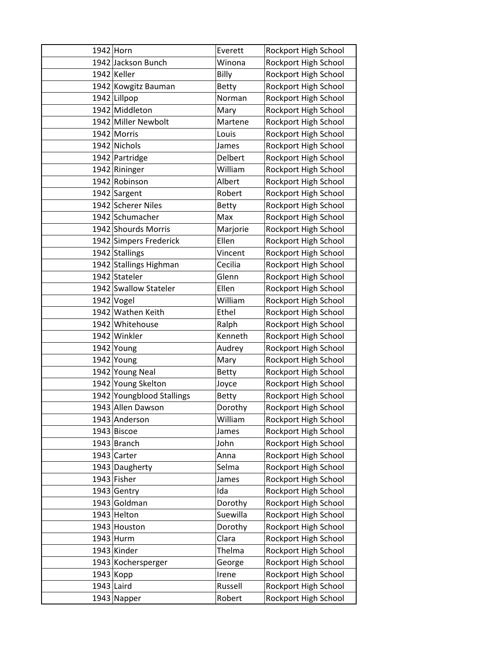| 1942 Horn                 | Everett      | Rockport High School |
|---------------------------|--------------|----------------------|
| 1942 Jackson Bunch        | Winona       | Rockport High School |
| 1942 Keller               | Billy        | Rockport High School |
| 1942 Kowgitz Bauman       | <b>Betty</b> | Rockport High School |
| 1942 Lillpop              | Norman       | Rockport High School |
| 1942 Middleton            | Mary         | Rockport High School |
| 1942 Miller Newbolt       | Martene      | Rockport High School |
| 1942 Morris               | Louis        | Rockport High School |
| 1942 Nichols              | James        | Rockport High School |
| 1942 Partridge            | Delbert      | Rockport High School |
| 1942 Rininger             | William      | Rockport High School |
| 1942 Robinson             | Albert       | Rockport High School |
| 1942 Sargent              | Robert       | Rockport High School |
| 1942 Scherer Niles        | <b>Betty</b> | Rockport High School |
| 1942 Schumacher           | Max          | Rockport High School |
| 1942 Shourds Morris       | Marjorie     | Rockport High School |
| 1942 Simpers Frederick    | Ellen        | Rockport High School |
| 1942 Stallings            | Vincent      | Rockport High School |
| 1942 Stallings Highman    | Cecilia      | Rockport High School |
| 1942 Stateler             | Glenn        | Rockport High School |
| 1942 Swallow Stateler     | Ellen        | Rockport High School |
| $1942$ Vogel              | William      | Rockport High School |
| 1942 Wathen Keith         | Ethel        | Rockport High School |
| 1942 Whitehouse           | Ralph        | Rockport High School |
| 1942 Winkler              | Kenneth      | Rockport High School |
| 1942 Young                | Audrey       | Rockport High School |
| 1942 Young                | Mary         | Rockport High School |
| 1942 Young Neal           | <b>Betty</b> | Rockport High School |
| 1942 Young Skelton        | Joyce        | Rockport High School |
| 1942 Youngblood Stallings | <b>Betty</b> | Rockport High School |
| 1943 Allen Dawson         | Dorothy      | Rockport High School |
| 1943 Anderson             | William      | Rockport High School |
| 1943 Biscoe               | James        | Rockport High School |
| 1943 Branch               | John         | Rockport High School |
| 1943 Carter               | Anna         | Rockport High School |
| 1943 Daugherty            | Selma        | Rockport High School |
| 1943 Fisher               | James        | Rockport High School |
| 1943 Gentry               | Ida          | Rockport High School |
| 1943 Goldman              | Dorothy      | Rockport High School |
| 1943 Helton               | Suewilla     | Rockport High School |
| 1943 Houston              | Dorothy      | Rockport High School |
| 1943 Hurm                 | Clara        | Rockport High School |
| 1943 Kinder               | Thelma       | Rockport High School |
| 1943 Kochersperger        | George       | Rockport High School |
| 1943 Kopp                 | Irene        | Rockport High School |
| $1943$ Laird              | Russell      | Rockport High School |
| 1943 Napper               | Robert       | Rockport High School |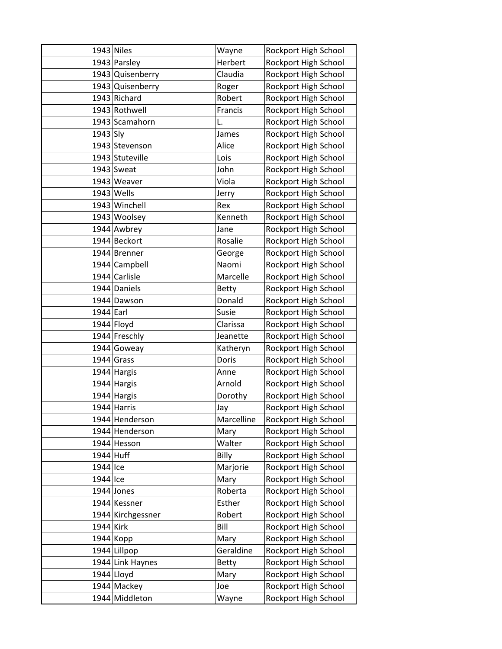|             | $1943$ Niles      | Wayne        | Rockport High School |
|-------------|-------------------|--------------|----------------------|
|             | 1943 Parsley      | Herbert      | Rockport High School |
|             | 1943 Quisenberry  | Claudia      | Rockport High School |
|             | 1943 Quisenberry  | Roger        | Rockport High School |
|             | 1943 Richard      | Robert       | Rockport High School |
|             | 1943 Rothwell     | Francis      | Rockport High School |
|             | 1943 Scamahorn    | L.           | Rockport High School |
| 1943 Sly    |                   | James        | Rockport High School |
|             | 1943 Stevenson    | Alice        | Rockport High School |
|             | 1943 Stuteville   | Lois         | Rockport High School |
|             | $1943$ Sweat      | John         | Rockport High School |
|             | 1943 Weaver       | Viola        | Rockport High School |
|             | $1943$ Wells      | Jerry        | Rockport High School |
|             | 1943 Winchell     | Rex          | Rockport High School |
|             | 1943 Woolsey      | Kenneth      | Rockport High School |
|             | 1944 Awbrey       | Jane         | Rockport High School |
|             | 1944 Beckort      | Rosalie      | Rockport High School |
|             | 1944 Brenner      | George       | Rockport High School |
|             | 1944 Campbell     | Naomi        | Rockport High School |
|             | 1944 Carlisle     | Marcelle     | Rockport High School |
|             | 1944 Daniels      | <b>Betty</b> | Rockport High School |
|             | 1944 Dawson       | Donald       | Rockport High School |
| $1944$ Earl |                   | Susie        | Rockport High School |
|             | 1944 Floyd        | Clarissa     | Rockport High School |
|             | 1944 Freschly     | Jeanette     | Rockport High School |
|             | 1944 Goweay       | Katheryn     | Rockport High School |
|             | $1944$ Grass      | Doris        | Rockport High School |
|             | 1944 Hargis       | Anne         | Rockport High School |
|             | 1944 Hargis       | Arnold       | Rockport High School |
|             | 1944 Hargis       | Dorothy      | Rockport High School |
|             | 1944 Harris       | Jay          | Rockport High School |
|             | 1944 Henderson    | Marcelline   | Rockport High School |
|             | 1944 Henderson    | Mary         | Rockport High School |
|             | 1944 Hesson       | Walter       | Rockport High School |
| 1944 Huff   |                   | Billy        | Rockport High School |
| 1944 Ice    |                   | Marjorie     | Rockport High School |
| 1944 Ice    |                   | Mary         | Rockport High School |
|             | 1944 Jones        | Roberta      | Rockport High School |
|             | 1944 Kessner      | Esther       | Rockport High School |
|             | 1944 Kirchgessner | Robert       | Rockport High School |
| 1944 Kirk   |                   | Bill         | Rockport High School |
|             | $1944$ Kopp       | Mary         | Rockport High School |
|             | 1944 Lillpop      | Geraldine    | Rockport High School |
|             | 1944 Link Haynes  | <b>Betty</b> | Rockport High School |
|             | 1944 Lloyd        | Mary         | Rockport High School |
|             | 1944 Mackey       | Joe          | Rockport High School |
|             | 1944 Middleton    | Wayne        | Rockport High School |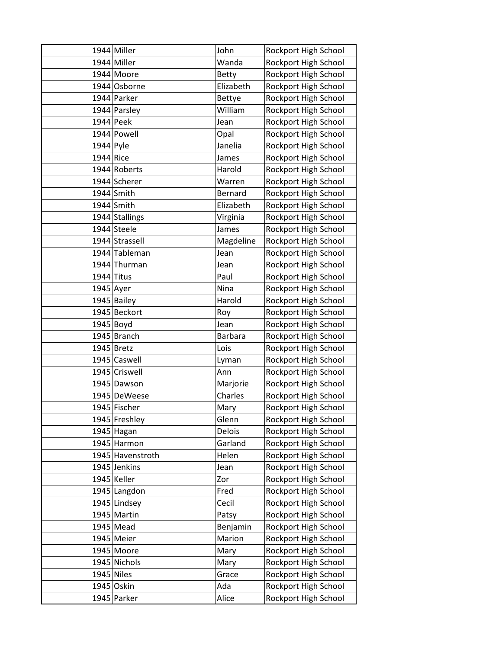|             | 1944 Miller      | John           | Rockport High School |
|-------------|------------------|----------------|----------------------|
|             | 1944 Miller      | Wanda          | Rockport High School |
|             | 1944 Moore       | <b>Betty</b>   | Rockport High School |
|             | 1944 Osborne     | Elizabeth      | Rockport High School |
|             | 1944 Parker      | <b>Bettye</b>  | Rockport High School |
|             | 1944 Parsley     | William        | Rockport High School |
|             | $1944$ Peek      | Jean           | Rockport High School |
|             | 1944 Powell      | Opal           | Rockport High School |
| $1944$ Pyle |                  | Janelia        | Rockport High School |
| $1944$ Rice |                  | James          | Rockport High School |
|             | 1944 Roberts     | Harold         | Rockport High School |
|             | 1944 Scherer     | Warren         | Rockport High School |
|             | $1944$ Smith     | <b>Bernard</b> | Rockport High School |
|             | $1944$ Smith     | Elizabeth      | Rockport High School |
|             | 1944 Stallings   | Virginia       | Rockport High School |
|             | 1944 Steele      | James          | Rockport High School |
|             | 1944 Strassell   | Magdeline      | Rockport High School |
|             | 1944 Tableman    | Jean           | Rockport High School |
|             | 1944 Thurman     | Jean           | Rockport High School |
|             | $1944$ Titus     | Paul           | Rockport High School |
|             | $1945$ Ayer      | Nina           | Rockport High School |
|             | 1945 Bailey      | Harold         | Rockport High School |
|             | 1945 Beckort     | Roy            | Rockport High School |
|             | 1945 Boyd        | Jean           | Rockport High School |
|             | 1945 Branch      | <b>Barbara</b> | Rockport High School |
|             | 1945 Bretz       | Lois           | Rockport High School |
|             | 1945 Caswell     | Lyman          | Rockport High School |
|             | 1945 Criswell    | Ann            | Rockport High School |
|             | 1945 Dawson      | Marjorie       | Rockport High School |
|             | 1945 DeWeese     | Charles        | Rockport High School |
|             | 1945 Fischer     | Mary           | Rockport High School |
|             | 1945 Freshley    | Glenn          | Rockport High School |
|             | 1945 Hagan       | Delois         | Rockport High School |
|             | 1945 Harmon      | Garland        | Rockport High School |
|             | 1945 Havenstroth | Helen          | Rockport High School |
|             | 1945 Jenkins     | Jean           | Rockport High School |
|             | 1945 Keller      | Zor            | Rockport High School |
|             | 1945 Langdon     | Fred           | Rockport High School |
|             | 1945 Lindsey     | Cecil          | Rockport High School |
|             | 1945 Martin      | Patsy          | Rockport High School |
|             | 1945 Mead        | Benjamin       | Rockport High School |
|             | 1945 Meier       | Marion         | Rockport High School |
|             | 1945 Moore       | Mary           | Rockport High School |
|             | 1945 Nichols     | Mary           | Rockport High School |
|             | $1945$ Niles     | Grace          | Rockport High School |
|             | 1945 Oskin       | Ada            | Rockport High School |
|             | 1945 Parker      | Alice          | Rockport High School |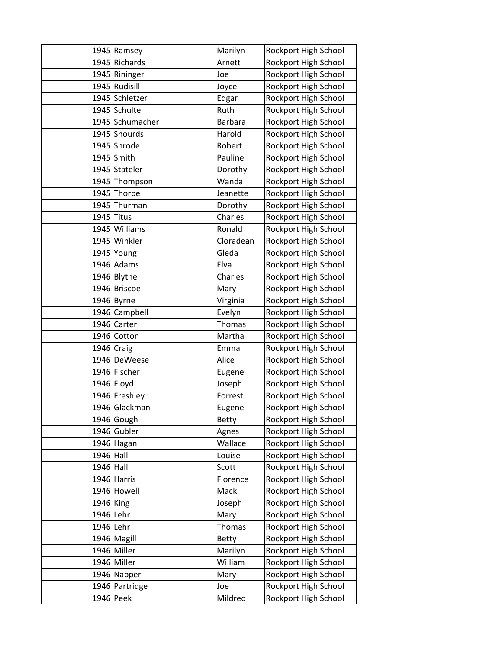|             | 1945 Ramsey     | Marilyn        | Rockport High School |
|-------------|-----------------|----------------|----------------------|
|             | 1945 Richards   | Arnett         | Rockport High School |
|             | 1945 Rininger   | Joe            | Rockport High School |
|             | 1945 Rudisill   | Joyce          | Rockport High School |
|             | 1945 Schletzer  | Edgar          | Rockport High School |
|             | 1945 Schulte    | Ruth           | Rockport High School |
|             | 1945 Schumacher | <b>Barbara</b> | Rockport High School |
|             | 1945 Shourds    | Harold         | Rockport High School |
|             | 1945 Shrode     | Robert         | Rockport High School |
|             | 1945 Smith      | Pauline        | Rockport High School |
|             | 1945 Stateler   | Dorothy        | Rockport High School |
|             | 1945 Thompson   | Wanda          | Rockport High School |
|             | 1945 Thorpe     | Jeanette       | Rockport High School |
|             | 1945 Thurman    | Dorothy        | Rockport High School |
|             | $1945$ Titus    | Charles        | Rockport High School |
|             | 1945 Williams   | Ronald         | Rockport High School |
|             | 1945 Winkler    | Cloradean      | Rockport High School |
|             | $1945$ Young    | Gleda          | Rockport High School |
|             | 1946 Adams      | Elva           | Rockport High School |
|             | 1946 Blythe     | Charles        | Rockport High School |
|             | 1946 Briscoe    | Mary           | Rockport High School |
|             | $1946$ Byrne    | Virginia       | Rockport High School |
|             | 1946 Campbell   | Evelyn         | Rockport High School |
|             | 1946 Carter     | Thomas         | Rockport High School |
|             | 1946 Cotton     | Martha         | Rockport High School |
|             | 1946 Craig      | Emma           | Rockport High School |
|             | 1946 DeWeese    | Alice          | Rockport High School |
|             | 1946 Fischer    | Eugene         | Rockport High School |
|             | $1946$ Floyd    | Joseph         | Rockport High School |
|             | 1946 Freshley   | Forrest        | Rockport High School |
|             | 1946 Glackman   | Eugene         | Rockport High School |
|             | 1946 Gough      | <b>Betty</b>   | Rockport High School |
|             | 1946 Gubler     | Agnes          | Rockport High School |
|             | 1946 Hagan      | Wallace        | Rockport High School |
| $1946$ Hall |                 | Louise         | Rockport High School |
| $1946$ Hall |                 | Scott          | Rockport High School |
|             | 1946 Harris     | Florence       | Rockport High School |
|             | 1946 Howell     | Mack           | Rockport High School |
| 1946 King   |                 | Joseph         | Rockport High School |
| 1946 Lehr   |                 | Mary           | Rockport High School |
| 1946 Lehr   |                 | Thomas         | Rockport High School |
|             | 1946 Magill     | <b>Betty</b>   | Rockport High School |
|             | 1946 Miller     | Marilyn        | Rockport High School |
|             | 1946 Miller     | William        | Rockport High School |
|             | 1946 Napper     | Mary           | Rockport High School |
|             | 1946 Partridge  | Joe            | Rockport High School |
|             | $1946$ Peek     | Mildred        | Rockport High School |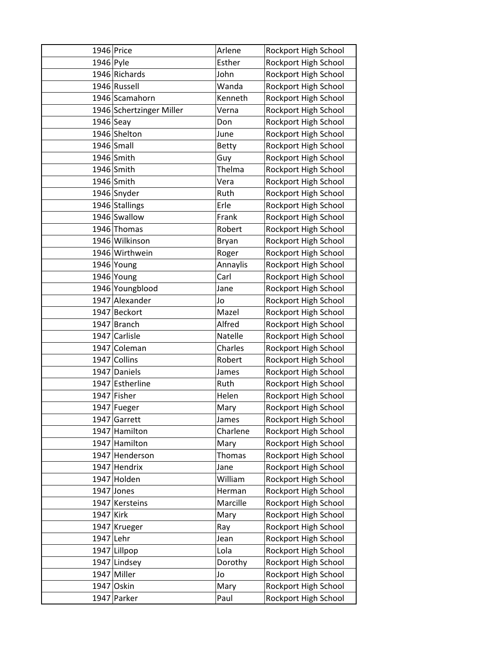|             | 1946 Price               | Arlene       | Rockport High School |
|-------------|--------------------------|--------------|----------------------|
| 1946 Pyle   |                          | Esther       | Rockport High School |
|             | 1946 Richards            | John         | Rockport High School |
|             | 1946 Russell             | Wanda        | Rockport High School |
|             | 1946 Scamahorn           | Kenneth      | Rockport High School |
|             | 1946 Schertzinger Miller | Verna        | Rockport High School |
| $1946$ Seay |                          | Don          | Rockport High School |
|             | 1946 Shelton             | June         | Rockport High School |
|             | $1946$ Small             | <b>Betty</b> | Rockport High School |
|             | 1946 Smith               | Guy          | Rockport High School |
|             | $1946$ Smith             | Thelma       | Rockport High School |
|             | 1946 Smith               | Vera         | Rockport High School |
|             | 1946 Snyder              | Ruth         | Rockport High School |
|             | 1946 Stallings           | Erle         | Rockport High School |
|             | 1946 Swallow             | Frank        | Rockport High School |
|             | 1946 Thomas              | Robert       | Rockport High School |
|             | 1946 Wilkinson           | Bryan        | Rockport High School |
|             | 1946 Wirthwein           | Roger        | Rockport High School |
|             | 1946 Young               | Annaylis     | Rockport High School |
|             | 1946 Young               | Carl         | Rockport High School |
|             | 1946 Youngblood          | Jane         | Rockport High School |
|             | 1947 Alexander           | Jo           | Rockport High School |
|             | 1947 Beckort             | Mazel        | Rockport High School |
|             | 1947 Branch              | Alfred       | Rockport High School |
|             | 1947 Carlisle            | Natelle      | Rockport High School |
|             | 1947 Coleman             | Charles      | Rockport High School |
|             | 1947 Collins             | Robert       | Rockport High School |
|             | 1947 Daniels             | James        | Rockport High School |
|             | 1947 Estherline          | Ruth         | Rockport High School |
|             | 1947 Fisher              | Helen        | Rockport High School |
|             | 1947 Fueger              | Mary         | Rockport High School |
|             | 1947 Garrett             | James        | Rockport High School |
|             | 1947 Hamilton            | Charlene     | Rockport High School |
|             | 1947 Hamilton            | Mary         | Rockport High School |
|             | 1947 Henderson           | Thomas       | Rockport High School |
|             | 1947 Hendrix             | Jane         | Rockport High School |
|             | 1947 Holden              | William      | Rockport High School |
|             | 1947 Jones               | Herman       | Rockport High School |
|             | 1947 Kersteins           | Marcille     | Rockport High School |
| 1947 Kirk   |                          | Mary         | Rockport High School |
|             | 1947 Krueger             | Ray          | Rockport High School |
| 1947 Lehr   |                          | Jean         | Rockport High School |
|             | 1947 Lillpop             | Lola         | Rockport High School |
|             | 1947 Lindsey             | Dorothy      | Rockport High School |
|             | 1947 Miller              | Jo           | Rockport High School |
|             | 1947 Oskin               | Mary         | Rockport High School |
|             | 1947 Parker              | Paul         | Rockport High School |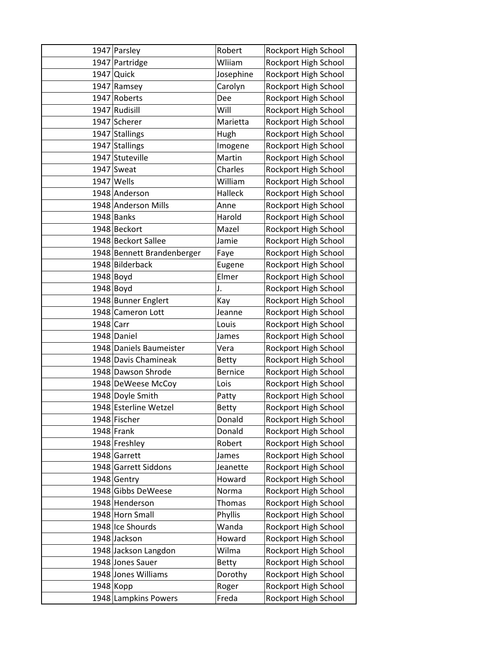|           | 1947 Parsley               | Robert         | Rockport High School |
|-----------|----------------------------|----------------|----------------------|
|           | 1947 Partridge             | Wliiam         | Rockport High School |
|           | $1947$ Quick               | Josephine      | Rockport High School |
|           | 1947 Ramsey                | Carolyn        | Rockport High School |
|           | 1947 Roberts               | Dee            | Rockport High School |
|           | 1947 Rudisill              | Will           | Rockport High School |
|           | 1947 Scherer               | Marietta       | Rockport High School |
|           | 1947 Stallings             | Hugh           | Rockport High School |
|           | 1947 Stallings             | Imogene        | Rockport High School |
|           | 1947 Stuteville            | Martin         | Rockport High School |
|           | 1947 Sweat                 | Charles        | Rockport High School |
|           | $1947$ Wells               | William        | Rockport High School |
|           | 1948 Anderson              | Halleck        | Rockport High School |
|           | 1948 Anderson Mills        | Anne           | Rockport High School |
|           | 1948 Banks                 | Harold         | Rockport High School |
|           | 1948 Beckort               | Mazel          | Rockport High School |
|           | 1948 Beckort Sallee        | Jamie          | Rockport High School |
|           | 1948 Bennett Brandenberger | Faye           | Rockport High School |
|           | 1948 Bilderback            | Eugene         | Rockport High School |
|           | $1948$ Boyd                | Elmer          | Rockport High School |
|           | $1948$ Boyd                | J.             | Rockport High School |
|           | 1948 Bunner Englert        | Kay            | Rockport High School |
|           | 1948 Cameron Lott          | Jeanne         | Rockport High School |
| 1948 Carr |                            | Louis          | Rockport High School |
|           | 1948 Daniel                | James          | Rockport High School |
|           | 1948 Daniels Baumeister    | Vera           | Rockport High School |
|           | 1948 Davis Chamineak       | <b>Betty</b>   | Rockport High School |
|           | 1948 Dawson Shrode         | <b>Bernice</b> | Rockport High School |
|           | 1948 DeWeese McCoy         | Lois           | Rockport High School |
|           | 1948 Doyle Smith           | Patty          | Rockport High School |
|           | 1948 Esterline Wetzel      | <b>Betty</b>   | Rockport High School |
|           | 1948 Fischer               | Donald         | Rockport High School |
|           | $1948$ Frank               | Donald         | Rockport High School |
|           | 1948 Freshley              | Robert         | Rockport High School |
|           | 1948 Garrett               | James          | Rockport High School |
|           | 1948 Garrett Siddons       | Jeanette       | Rockport High School |
|           | 1948 Gentry                | Howard         | Rockport High School |
|           | 1948 Gibbs DeWeese         | Norma          | Rockport High School |
|           | 1948 Henderson             | Thomas         | Rockport High School |
|           | 1948 Horn Small            | Phyllis        | Rockport High School |
|           | 1948 Ice Shourds           | Wanda          | Rockport High School |
|           | 1948 Jackson               | Howard         | Rockport High School |
|           | 1948 Jackson Langdon       | Wilma          | Rockport High School |
|           | 1948 Jones Sauer           | <b>Betty</b>   | Rockport High School |
|           | 1948 Jones Williams        | Dorothy        | Rockport High School |
|           | 1948 Kopp                  | Roger          | Rockport High School |
|           | 1948 Lampkins Powers       | Freda          | Rockport High School |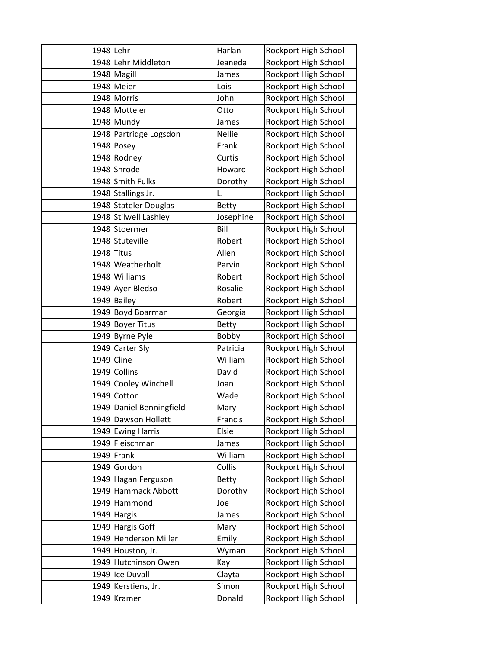| 1948 Lehr |                          | Harlan        | Rockport High School |
|-----------|--------------------------|---------------|----------------------|
|           | 1948 Lehr Middleton      | Jeaneda       | Rockport High School |
|           | 1948 Magill              | James         | Rockport High School |
|           | 1948 Meier               | Lois          | Rockport High School |
|           | 1948 Morris              | John          | Rockport High School |
|           | 1948 Motteler            | Otto          | Rockport High School |
|           | 1948 Mundy               | James         | Rockport High School |
|           | 1948 Partridge Logsdon   | <b>Nellie</b> | Rockport High School |
|           | $1948$ Posey             | Frank         | Rockport High School |
|           | 1948 Rodney              | Curtis        | Rockport High School |
|           | 1948 Shrode              | Howard        | Rockport High School |
|           | 1948 Smith Fulks         | Dorothy       | Rockport High School |
|           | 1948 Stallings Jr.       | L.            | Rockport High School |
|           | 1948 Stateler Douglas    | <b>Betty</b>  | Rockport High School |
|           | 1948 Stilwell Lashley    | Josephine     | Rockport High School |
|           | 1948 Stoermer            | Bill          | Rockport High School |
|           | 1948 Stuteville          | Robert        | Rockport High School |
|           | $1948$ Titus             | Allen         | Rockport High School |
|           | 1948 Weatherholt         | Parvin        | Rockport High School |
|           | 1948 Williams            | Robert        | Rockport High School |
|           | 1949 Ayer Bledso         | Rosalie       | Rockport High School |
|           | 1949 Bailey              | Robert        | Rockport High School |
|           | 1949 Boyd Boarman        | Georgia       | Rockport High School |
|           | 1949 Boyer Titus         | <b>Betty</b>  | Rockport High School |
|           | 1949 Byrne Pyle          | Bobby         | Rockport High School |
|           | 1949 Carter Sly          | Patricia      | Rockport High School |
|           | 1949 Cline               | William       | Rockport High School |
|           | 1949 Collins             | David         | Rockport High School |
|           | 1949 Cooley Winchell     | Joan          | Rockport High School |
|           | 1949 Cotton              | Wade          | Rockport High School |
|           | 1949 Daniel Benningfield | Mary          | Rockport High School |
|           | 1949 Dawson Hollett      | Francis       | Rockport High School |
|           | 1949 Ewing Harris        | Elsie         | Rockport High School |
|           | 1949 Fleischman          | James         | Rockport High School |
|           | $1949$ Frank             | William       | Rockport High School |
|           | 1949 Gordon              | Collis        | Rockport High School |
|           | 1949 Hagan Ferguson      | <b>Betty</b>  | Rockport High School |
|           | 1949 Hammack Abbott      | Dorothy       | Rockport High School |
|           | 1949 Hammond             | Joe           | Rockport High School |
|           | 1949 Hargis              | James         | Rockport High School |
|           | 1949 Hargis Goff         | Mary          | Rockport High School |
|           | 1949 Henderson Miller    | Emily         | Rockport High School |
|           | 1949 Houston, Jr.        | Wyman         | Rockport High School |
|           | 1949 Hutchinson Owen     | Kay           | Rockport High School |
|           | 1949 Ice Duvall          | Clayta        | Rockport High School |
|           | 1949 Kerstiens, Jr.      | Simon         | Rockport High School |
|           | 1949 Kramer              | Donald        | Rockport High School |